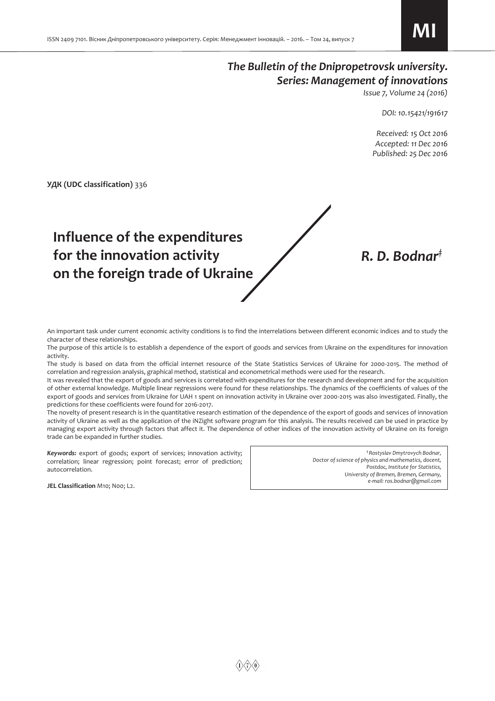## *The Bulletin of the Dnipropetrovsk university. Series: Management of innovations*

*Issue 7, Volume 24 (2016)* 

*DOI: 10.15421/191617* 

 *Received: 15 Oct 2016 Accepted: 11 Dec 2016 Published: 25 Dec 2016* 

*R. D. Bodnar‡*

**УДК (UDC classification)** 336

# **Influence of the expenditures for the innovation activity on the foreign trade of Ukraine**

An important task under current economic activity conditions is to find the interrelations between different economic indices and to study the character of these relationships.

The purpose of this article is to establish a dependence of the export of goods and services from Ukraine on the expenditures for innovation activity.

The study is based on data from the official internet resource of the State Statistics Services of Ukraine for 2000-2015. The method of correlation and regression analysis, graphical method, statistical and econometrical methods were used for the research.

It was revealed that the export of goods and services is correlated with expenditures for the research and development and for the acquisition of other external knowledge. Multiple linear regressions were found for these relationships. The dynamics of the coefficients of values of the export of goods and services from Ukraine for UAH 1 spent on innovation activity in Ukraine over 2000-2015 was also investigated. Finally, the predictions for these coefficients were found for 2016-2017.

The novelty of present research is in the quantitative research estimation of the dependence of the export of goods and services of innovation activity of Ukraine as well as the application of the iNZight software program for this analysis. The results received can be used in practice by managing export activity through factors that affect it. The dependence of other indices of the innovation activity of Ukraine on its foreign trade can be expanded in further studies.

*Keywords:* export of goods; export of services; innovation activity; correlation; linear regression; point forecast; error of prediction; autocorrelation.

*‡ Rostyslav Dmytrovych Bodnar, Doctor of science of physics and mathematics, docent, Postdoc, Institute for Statistics, University of Bremen, Bremen, Germany, e-mail: ros.bodnar@gmail.com*

**JEL Classification** M10; N00; L2.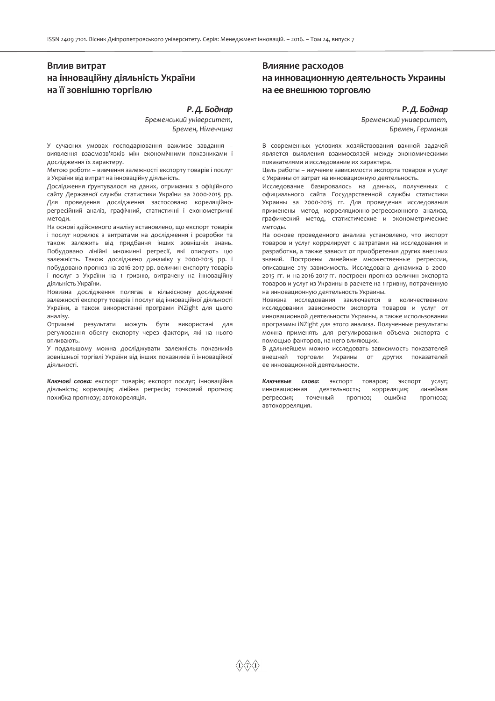## **Вплив витрат на інноваційну діяльність України на її зовнішню торгівлю**

#### *Р.Д. Боднар*

*Бременський університет, Бремен, Німеччина*

У сучасних умовах господарювання важливе завдання – виявлення взаємозв'язків між економічними показниками і дослідження їх характеру.

Метою роботи – вивчення залежності експорту товарів і послуг з України від витрат на інноваційну діяльність.

Дослідження ґрунтувалося на даних, отриманих з офіційного сайту Державної служби статистики України за 2000-2015 рр. Для проведення дослідження застосовано кореляційнорегресійний аналіз, графічний, статистичні і економетричні методи.

На основі здійсненого аналізу встановлено, що експорт товарів і послуг корелює з витратами на дослідження і розробки та також залежить від придбання інших зовнішніх знань. Побудовано лінійні множинні регресії, які описують цю залежність. Також досліджено динаміку у 2000-2015 рр. і побудовано прогноз на 2016-2017 рр. величин експорту товарів і послуг з України на 1 гривню, витрачену на інноваційну діяльність України.

Новизна дослідження полягає в кількісному дослідженні залежності експорту товарів і послуг від інноваційної діяльності України, а також використанні програми iNZight для цього аналізу.

Отримані результати можуть бути використані для регулювання обсягу експорту через фактори, які на нього впливають.

У подальшому можна досліджувати залежність показників зовнішньої торгівлі України від інших показників її інноваційної діяльності.

*Ключові слова:* експорт товарів; експорт послуг; інноваційна діяльність; кореляція; лінійна регресія; точковий прогноз; похибка прогнозу; автокореляція.

## **Влияние расходов на инновационную деятельность Украины на ее внешнюю торговлю**

#### *Р.Д. Боднар*

*Бременский университет, Бремен, Германия* 

В современных условиях хозяйствования важной задачей является выявления взаимосвязей между экономическими показателями и исследование их характера.

Цель работы – изучение зависимости экспорта товаров и услуг с Украины от затрат на инновационную деятельность.

Исследование базировалось на данных, полученных с официального сайта Государственной службы статистики Украины за 2000-2015 гг. Для проведения исследования применены метод корреляционно-регрессионного анализа, графический метод, статистические и эконометрические методы.

На основе проведенного анализа установлено, что экспорт товаров и услуг коррелирует с затратами на исследования и разработки, а также зависит от приобретения других внешних знаний. Построены линейные множественные регрессии, описавшие эту зависимость. Исследована динамика в 2000- 2015 гг. и на 2016-2017 гг. построен прогноз величин экспорта товаров и услуг из Украины в расчете на 1 гривну, потраченную на инновационную деятельность Украины.

Новизна исследования заключается в количественном исследовании зависимости экспорта товаров и услуг от инновационной деятельности Украины, а также использовании программы iNZight для этого анализа. Полученные результаты можна применять для регулирования объема экспорта с помощью факторов, на него влияющих.

В дальнейшем можно исследовать зависимость показателей внешней торговли Украины от других показателей ее инновационной деятельности.

*Ключевые слова*: экспорт товаров; экспорт услуг; инновационная деятельность; корреляция; линейная регрессия; точечный прогноз; ошибка прогноза; автокорреляция.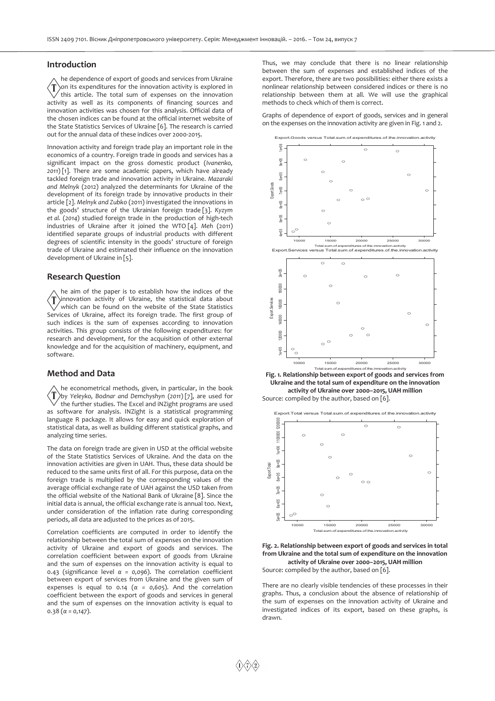#### **Introduction**

he dependence of export of goods and services from Ukraine on its expenditures for the innovation activity is explored in ′T this article. The total sum of expenses on the innovation activity as well as its components of financing sources and innovation activities was chosen for this analysis. Official data of the chosen indices can be found at the official internet website of the State Statistics Services of Ukraine [6]. The research is carried out for the annual data of these indices over 2000-2015.

Innovation activity and foreign trade play an important role in the economics of a country. Foreign trade in goods and services has a significant impact on the gross domestic product (*Ivanenko, 2011*) [1]. There are some academic papers, which have already tackled foreign trade and innovation activity in Ukraine. *Mazaraki and Melnyk* (2012) analyzed the determinants for Ukraine of the development of its foreign trade by innovative products in their article [2]. *Melnyk and Zubko* (2011) investigated the innovations in the goods' structure of the Ukrainian foreign trade [3]. *Kyzym et al.* (*2014*) studied foreign trade in the production of high-tech industries of Ukraine after it joined the WTO [4]. *Meh* (2011) identified separate groups of industrial products with different degrees of scientific intensity in the goods' structure of foreign trade of Ukraine and estimated their influence on the innovation development of Ukraine in [5].

#### **Research Question**

he aim of the paper is to establish how the indices of the innovation activity of Ukraine, the statistical data about which can be found on the website of the State Statistics Services of Ukraine, affect its foreign trade. The first group of such indices is the sum of expenses according to innovation activities. This group consists of the following expenditures: for research and development, for the acquisition of other external knowledge and for the acquisition of machinery, equipment, and software.

#### **Method and Data**

he econometrical methods, given, in particular, in the book ΄T by *Yeleyko, Bodnar and Demchyshyn* (*2011*) [7], are used for the further studies. The Excel and iNZight programs are used as software for analysis. INZight is a statistical programming language R package. It allows for easy and quick exploration of statistical data, as well as building different statistical graphs, and analyzing time series.

The data on foreign trade are given in USD at the official website of the State Statistics Services of Ukraine. And the data on the innovation activities are given in UAH. Thus, these data should be reduced to the same units first of all. For this purpose, data on the foreign trade is multiplied by the corresponding values of the average official exchange rate of UAH against the USD taken from the official website of the National Bank of Ukraine [8]. Since the initial data is annual, the official exchange rate is annual too. Next, under consideration of the inflation rate during corresponding periods, all data are adjusted to the prices as of 2015.

Correlation coefficients are computed in order to identify the relationship between the total sum of expenses on the innovation activity of Ukraine and export of goods and services. The correlation coefficient between export of goods from Ukraine and the sum of expenses on the innovation activity is equal to 0.43 (significance level *α = 0,096*). The correlation coefficient between export of services from Ukraine and the given sum of expenses is equal to 0.14 (*α = 0,605*). And the correlation coefficient between the export of goods and services in general and the sum of expenses on the innovation activity is equal to 0.38 (*α = 0,147*).

Thus, we may conclude that there is no linear relationship between the sum of expenses and established indices of the export. Therefore, there are two possibilities: either there exists a nonlinear relationship between considered indices or there is no relationship between them at all. We will use the graphical methods to check which of them is correct.

Graphs of dependence of export of goods, services and in general on the expenses on the innovation activity are given in Fig. 1 and 2.



**Fig. 1. Relationship between export of goods and services from Ukraine and the total sum of expenditure on the innovation activity of Ukraine over 2000–2015, UAH million**  Source: compiled by the author, based on [6].





There are no clearly visible tendencies of these processes in their graphs. Thus, a conclusion about the absence of relationship of the sum of expenses on the innovation activity of Ukraine and investigated indices of its export, based on these graphs, is drawn.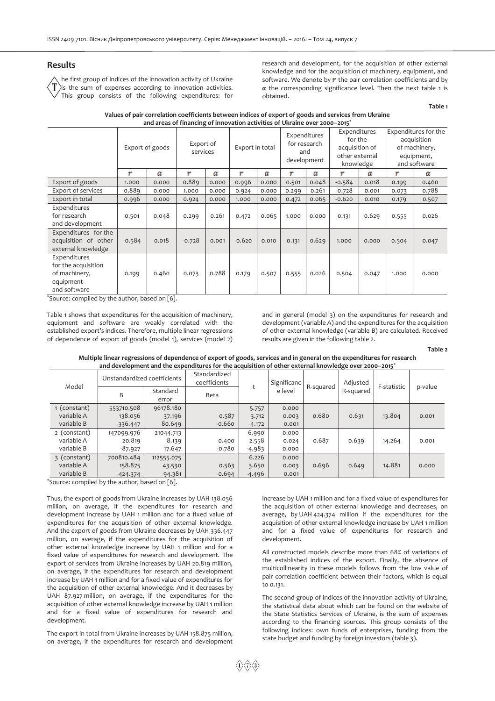#### **Results**

he first group of indices of the innovation activity of Ukraine ) is the sum of expenses according to innovation activities. This group consists of the following expenditures: for research and development, for the acquisition of other external knowledge and for the acquisition of machinery, equipment, and software. We denote by  $\mathbf r$  the pair correlation coefficients and by *α* the corresponding significance level. Then the next table 1 is obtained.

**Table 1** 

| and areas of financing of innovation activities of Ukraine over 2000-2015 <sup>*</sup> |                 |       |                       |       |                 |       |                                                    |       |                                                                          |       |                                                                                    |       |
|----------------------------------------------------------------------------------------|-----------------|-------|-----------------------|-------|-----------------|-------|----------------------------------------------------|-------|--------------------------------------------------------------------------|-------|------------------------------------------------------------------------------------|-------|
|                                                                                        | Export of goods |       | Export of<br>services |       | Export in total |       | Expenditures<br>for research<br>and<br>development |       | Expenditures<br>for the<br>acquisition of<br>other external<br>knowledge |       | Expenditures for the<br>acquisition<br>of machinery,<br>equipment,<br>and software |       |
|                                                                                        | r               | α     | ۳                     | α     | Υ               | α     | r                                                  | α     | ۳                                                                        | α     | Υ                                                                                  | α     |
| Export of goods                                                                        | 1.000           | 0.000 | 0.889                 | 0.000 | 0.996           | 0.000 | 0.501                                              | 0.048 | $-0.584$                                                                 | 0.018 | 0.199                                                                              | 0.460 |
| Export of services                                                                     | 0.889           | 0.000 | 1.000                 | 0.000 | 0.924           | 0.000 | 0.299                                              | 0.261 | $-0.728$                                                                 | 0.001 | 0.073                                                                              | 0.788 |
| Export in total                                                                        | 0.996           | 0.000 | 0.924                 | 0.000 | 1.000           | 0.000 | 0.472                                              | 0.065 | $-0.620$                                                                 | 0.010 | 0.179                                                                              | 0.507 |
| Expenditures<br>for research<br>and development                                        | 0.501           | 0.048 | 0.299                 | 0.261 | 0.472           | 0.065 | 1.000                                              | 0.000 | 0.131                                                                    | 0.629 | 0.555                                                                              | 0.026 |
| Expenditures for the<br>acquisition of other<br>external knowledge                     | $-0.584$        | 0.018 | $-0.728$              | 0.001 | $-0.620$        | 0.010 | 0.131                                              | 0.629 | 1.000                                                                    | 0.000 | 0.504                                                                              | 0.047 |
| Expenditures<br>for the acquisition<br>of machinery,<br>equipment<br>and software      | 0.199           | 0.460 | 0.073                 | 0.788 | 0.179           | 0.507 | 0.555                                              | 0.026 | 0.504                                                                    | 0.047 | 1.000                                                                              | 0.000 |

## **Values of pair correlation coefficients between indices of export of goods and services from Ukraine**

\*Source: compiled by the author, based on [6].

Table 1 shows that expenditures for the acquisition of machinery, equipment and software are weakly correlated with the established export's indices. Therefore, multiple linear regressions of dependence of export of goods (model 1), services (model 2) and in general (model 3) on the expenditures for research and development (variable A) and the expenditures for the acquisition of other external knowledge (variable B) are calculated. Received results are given in the following table 2.

**Table 2** 

| Multiple linear regressions of dependence of export of goods, services and in general on the expenditures for research |  |
|------------------------------------------------------------------------------------------------------------------------|--|
| and development and the expenditures for the acquisition of other external knowledge over 2000–2015 <sup>*</sup>       |  |

| Model        | Unstandardized coefficients |                   | Standardized<br>coefficients |          | Significanc | R-squared | Adjusted  | F-statistic | p-value |
|--------------|-----------------------------|-------------------|------------------------------|----------|-------------|-----------|-----------|-------------|---------|
|              | B                           | Standard<br>error | <b>Beta</b>                  |          | e level     |           | R-squared |             |         |
| 1 (constant) | 553710.508                  | 96178.180         |                              | 5.757    | 0.000       |           |           |             |         |
| variable A   | 138.056                     | 37.196            | 0.587                        | 3.712    | 0.003       | 0.680     | 0.631     | 13.804      | 0.001   |
| variable B   | $-336.447$                  | 80.649            | $-0.660$                     | $-4.172$ | 0.001       |           |           |             |         |
| 2 (constant) | 147099.976                  | 21044.713         |                              | 6.990    | 0.000       |           |           |             |         |
| variable A   | 20.819                      | 8.139             | 0.400                        | 2.558    | 0.024       | 0.687     | 0.639     | 14.264      | 0.001   |
| variable B   | -87.927                     | 17.647            | -0.780                       | $-4.983$ | 0.000       |           |           |             |         |
| 3 (constant) | 700810.484                  | 112555.075        |                              | 6.226    | 0.000       |           |           |             |         |
| variable A   | 158.875                     | 43.530            | 0.563                        | 3.650    | 0.003       | 0.696     | 0.649     | 14.881      | 0.000   |
| variable B   | $-424.374$                  | 94.381            | $-0.694$                     | $-4.496$ | 0.001       |           |           |             |         |

\*Source: compiled by the author, based on [6].

Thus, the export of goods from Ukraine increases by UAH 138.056 million, on average, if the expenditures for research and development increase by UAH 1 million and for a fixed value of expenditures for the acquisition of other external knowledge. And the export of goods from Ukraine decreases by UAH 336.447 million, on average, if the expenditures for the acquisition of other external knowledge increase by UAH 1 million and for a fixed value of expenditures for research and development. The export of services from Ukraine increases by UAH 20.819 million, on average, if the expenditures for research and development increase by UAH 1 million and for a fixed value of expenditures for the acquisition of other external knowledge. And it decreases by UAH 87.927 million, on average, if the expenditures for the acquisition of other external knowledge increase by UAH 1 million and for a fixed value of expenditures for research and development.

The export in total from Ukraine increases by UAH 158.875 million, on average, if the expenditures for research and development increase by UAH 1 million and for a fixed value of expenditures for the acquisition of other external knowledge and decreases, on average, by UAH 424.374 million if the expenditures for the acquisition of other external knowledge increase by UAH 1 million and for a fixed value of expenditures for research and development.

All constructed models describe more than 68% of variations of the established indices of the export. Finally, the absence of multicollinearity in these models follows from the low value of pair correlation coefficient between their factors, which is equal to 0.131.

The second group of indices of the innovation activity of Ukraine, the statistical data about which can be found on the website of the State Statistics Services of Ukraine, is the sum of expenses according to the financing sources. This group consists of the following indices: own funds of enterprises, funding from the state budget and funding by foreign investors (table 3).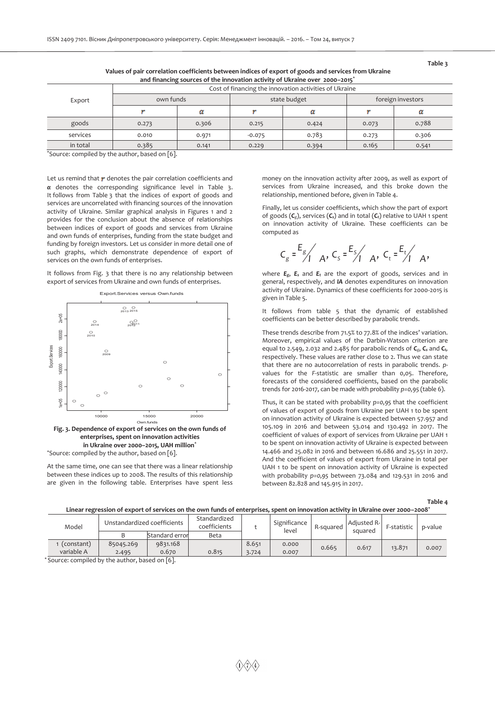| and financing sources of the innovation activity of UKraine over 2000–2015 |                                                        |       |          |              |                   |       |  |  |  |  |  |
|----------------------------------------------------------------------------|--------------------------------------------------------|-------|----------|--------------|-------------------|-------|--|--|--|--|--|
|                                                                            | Cost of financing the innovation activities of Ukraine |       |          |              |                   |       |  |  |  |  |  |
| Export                                                                     | own funds                                              |       |          | state budget | foreign investors |       |  |  |  |  |  |
|                                                                            |                                                        | α     |          |              |                   |       |  |  |  |  |  |
| goods                                                                      | 0.273                                                  | 0.306 | 0.215    | 0.424        | 0.073             | 0.788 |  |  |  |  |  |
| services                                                                   | 0.010                                                  | 0.971 | $-0.075$ | 0.783        | 0.273             | 0.306 |  |  |  |  |  |
| in total                                                                   | 0.385                                                  | 0.141 | 0.229    | 0.394        | 0.165             | 0.541 |  |  |  |  |  |

 **Values of pair correlation coefficients between indices of export of goods and services from Ukraine and financing sources of the innovation activity of Ukraine over 2000–2015\***

\*Source: compiled by the author, based on [6].

Let us remind that  $r$  denotes the pair correlation coefficients and *α* denotes the corresponding significance level in Table 3. It follows from Table 3 that the indices of export of goods and services are uncorrelated with financing sources of the innovation activity of Ukraine. Similar graphical analysis in Figures 1 and 2 provides for the conclusion about the absence of relationships between indices of export of goods and services from Ukraine and own funds of enterprises, funding from the state budget and funding by foreign investors. Let us consider in more detail one of such graphs, which demonstrate dependence of export of services on the own funds of enterprises.

It follows from Fig. 3 that there is no any relationship between export of services from Ukraine and own funds of enterprises.



**enterprises, spent on innovation activities in Ukraine over 2000–2015, UAH million**\* \*Source: compiled by the author, based on [6].

At the same time, one can see that there was a linear relationship between these indices up to 2008. The results of this relationship are given in the following table. Enterprises have spent less money on the innovation activity after 2009, as well as export of services from Ukraine increased, and this broke down the relationship, mentioned before, given in Table 4.

Finally, let us consider coefficients, which show the part of export of goods (*Cg*), services (*Cs*) and in total (*Ct*) relative to UAH 1 spent on innovation activity of Ukraine. These coefficients can be computed as

$$
C_g = \frac{E_g}{1}
$$
 A,  $C_s = \frac{E_s}{1}$  A,  $C_t = \frac{E_t}{1}$  A,

where *Eg*, *Es* and *Et* are the export of goods, services and in general, respectively, and *IA* denotes expenditures on innovation activity of Ukraine. Dynamics of these coefficients for 2000-2015 is given in Table 5.

It follows from table 5 that the dynamic of established coefficients can be better described by parabolic trends.

These trends describe from 71.5% to 77.8% of the indices' variation. Moreover, empirical values of the Darbin-Watson criterion are equal to 2.549, 2.032 and 2.485 for parabolic rends of *Cg*, *Cs* and *Ct,* respectively. These values are rather close to 2. Thus we can state that there are no autocorrelation of rests in parabolic trends. *p*values for the *F*-statistic are smaller than 0,05. Therefore, forecasts of the considered coefficients, based on the parabolic trends for 2016-2017, can be made with probability *p=0,95* (table 6).

Thus, it can be stated with probability *p=0,95* that the coefficient of values of export of goods from Ukraine per UAH 1 to be spent on innovation activity of Ukraine is expected between 57.957 and 105.109 in 2016 and between 53.014 and 130.492 in 2017. The coefficient of values of export of services from Ukraine per UAH 1 to be spent on innovation activity of Ukraine is expected between 14.466 and 25.082 in 2016 and between 16.686 and 25.551 in 2017. And the coefficient of values of export from Ukraine in total per UAH 1 to be spent on innovation activity of Ukraine is expected with probability *p=0,95* between 73.084 and 129.531 in 2016 and between 82.828 and 145.915 in 2017.

**Table 4** 

| Linear regression of export of services on the own funds of enterprises, spent on innovation activity in Ukraine over 2000–2008 <sup>*</sup> |                             |                |                              |       |                       |           |                        |             |         |
|----------------------------------------------------------------------------------------------------------------------------------------------|-----------------------------|----------------|------------------------------|-------|-----------------------|-----------|------------------------|-------------|---------|
| Model                                                                                                                                        | Unstandardized coefficients |                | Standardized<br>coefficients |       | Significance<br>level | R-squared | Adjusted R-<br>squared | F-statistic | p-value |
|                                                                                                                                              |                             | Standard error | Beta                         |       |                       |           |                        |             |         |
| (constant)                                                                                                                                   | 85045.269                   | 9831.168       |                              | 8.651 | 0.000                 | 0.665     | 0.617                  | 13.871      |         |
| variable A                                                                                                                                   | 2.495                       | 0.670          | 0.815                        | 3.724 | 0.007                 |           |                        |             | 0.007   |

\* Source: compiled by the author, based on [6].

**Table 3**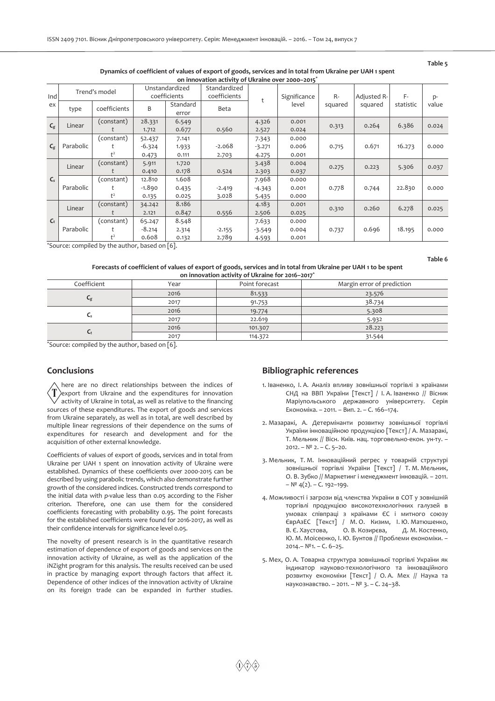#### **Table 5**

#### **Dynamics of coefficient of values of export of goods, services and in total from Ukraine per UAH 1 spent on innovation activity of Ukraine over 2000–2015\***

| on importance activity of on allie over 2000–2015 |           |                                   |                             |                                |                              |                            |                         |         |             |           |       |
|---------------------------------------------------|-----------|-----------------------------------|-----------------------------|--------------------------------|------------------------------|----------------------------|-------------------------|---------|-------------|-----------|-------|
| Ind                                               |           | Trend's model                     |                             | Unstandardized<br>coefficients | Standardized<br>coefficients |                            | Significance            | $R -$   | Adjusted R- | F-        | p-    |
| ex                                                | type      | coefficients                      | B                           | Standard<br>error              | Beta                         | t                          | level                   | squared | squared     | statistic | value |
| $C_{\rm g}$                                       | Linear    | (constant)                        | 28.331<br>1.712             | 6.549<br>0.677                 | 0.560                        | 4.326<br>2.527             | 0.001<br>0.024          | 0.313   | 0.264       | 6.386     | 0.024 |
| $C_g$                                             | Parabolic | (constant)<br>t.<br>$t^2$         | 52.437<br>$-6.324$<br>0.473 | 7.141<br>1.933<br>0.111        | $-2.068$<br>2.703            | 7.343<br>$-3.271$<br>4.275 | 0.000<br>0.006<br>0.001 | 0.715   | 0.671       | 16.273    | 0.000 |
|                                                   | Linear    | (constant)                        | 5.911<br>0.410              | 1.720<br>0.178                 | 0.524                        | 3.438<br>2.303             | 0.004<br>0.037          | 0.275   | 0.223       | 5.306     | 0.037 |
| $C_{s}$                                           | Parabolic | (constant)<br>$t^2$               | 12.810<br>$-1.890$<br>0.135 | 1.608<br>0.435<br>0.025        | $-2.419$<br>3.028            | 7.968<br>$-4.343$<br>5.435 | 0.000<br>0.001<br>0.000 | 0.778   | 0.744       | 22.830    | 0.000 |
|                                                   | Linear    | (constant)                        | 34.242<br>2.121             | 8.186<br>0.847                 | 0.556                        | 4.183<br>2.506             | 0.001<br>0.025          | 0.310   | 0.260       | 6.278     | 0.025 |
| $\mathsf{C}_t$                                    | Parabolic | (constant)<br>t<br>t <sup>2</sup> | 65.247<br>$-8.214$<br>0.608 | 8.548<br>2.314<br>0.132        | $-2.155$<br>2.789            | 7.633<br>$-3.549$<br>4.593 | 0.000<br>0.004<br>0.001 | 0.737   | 0.696       | 18.195    | 0.000 |

\*Source: compiled by the author, based on [6].

**Table 6** 

#### **Forecasts of coefficient of values of export of goods, services and in total from Ukraine per UAH 1 to be spent on innovation activity of Ukraine for 2016–2017\***

| on nanovation activity or one anno for zono zony |      |                |                            |  |  |  |  |  |  |  |
|--------------------------------------------------|------|----------------|----------------------------|--|--|--|--|--|--|--|
| Coefficient                                      | Year | Point forecast | Margin error of prediction |  |  |  |  |  |  |  |
|                                                  | 2016 | 81.533         | 23.576                     |  |  |  |  |  |  |  |
| Сg                                               | 2017 | 91.753         | 38.734                     |  |  |  |  |  |  |  |
|                                                  | 2016 | 19.774         | 5.308                      |  |  |  |  |  |  |  |
| U٤                                               | 2017 | 22.619         | 5.932                      |  |  |  |  |  |  |  |
|                                                  | 2016 | 101.307        | 28.223                     |  |  |  |  |  |  |  |
| Сt                                               | 2017 | 114.372        | 31.544                     |  |  |  |  |  |  |  |
|                                                  |      |                |                            |  |  |  |  |  |  |  |

\*Source: compiled by the author, based on [6].

### **Conclusions**

here are no direct relationships between the indices of T export from Ukraine and the expenditures for innovation activity of Ukraine in total, as well as relative to the financing sources of these expenditures. The export of goods and services from Ukraine separately, as well as in total, are well described by multiple linear regressions of their dependence on the sums of expenditures for research and development and for the acquisition of other external knowledge.

Coefficients of values of export of goods, services and in total from Ukraine per UAH 1 spent on innovation activity of Ukraine were established. Dynamics of these coefficients over 2000-2015 can be described by using parabolic trends, which also demonstrate further growth of the considered indices. Constructed trends correspond to the initial data with *p*-value less than 0.05 according to the Fisher criterion. Therefore, one can use them for the considered coefficients forecasting with probability 0.95. The point forecasts for the established coefficients were found for 2016-2017, as well as their confidence intervals for significance level 0.05.

The novelty of present research is in the quantitative research estimation of dependence of export of goods and services on the innovation activity of Ukraine, as well as the application of the iNZight program for this analysis. The results received can be used in practice by managing export through factors that affect it. Dependence of other indices of the innovation activity of Ukraine on its foreign trade can be expanded in further studies.

#### **Bibliographic references**

- 1. Іваненко, І. А. Аналіз впливу зовнішньої торгівлі з країнами СНД на ВВП України [Текст] / І. А. Іваненко // Вісник Маріупольського державного університету. Серія Економіка. – 2011. – Вип. 2. – С. 166–174.
- 2. Мазаракі, А. Детермінанти розвитку зовнішньої торгівлі України інноваційною продукцією [Текст] / А. Мазаракі, Т. Мельник // Вісн. Київ. нац. торговельно-екон. ун-ту. – 2012. – № 2. – С. 5–20.
- 3. Мельник, Т. М. Інноваційний регрес у товарній структурі зовнішньої торгівлі України [Текст] / Т. М. Мельник, О. В. Зубко // Маркетинг і менеджмент інновацій. – 2011. –  $N<sup>°</sup>$  4(2). – C. 192–199.
- 4. Можливості і загрози від членства України в СОТ у зовнішній торгівлі продукцією високотехнологічних галузей в умовах співпраці з країнами ЄС і митного союзу ЄврАзЕС [Текст] / М. О. Кизим, І. Ю. Матюшенко, В. Є. Хаустова, О. В. Козирєва, Д. М. Костенко, Ю. М. Моісеєнко, І. Ю. Бунтов // Проблеми економіки. – 2014.– №1. – С. 6–25.
- 5. Мех, О. А. Товарна структура зовнішньої торгівлі України як індикатор науково-технологічного та інноваційного розвитку економіки [Текст] / О. А. Мех // Наука та наукознавство. – 2011. – № 3. – С. 24–38.